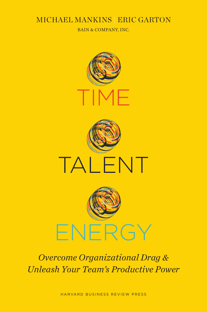## Michael Mankins | Eric Garton

BAIN & COMPANY, INC.



## *Overcome Organizational Drag & Unleash Your Team's Productive Power*

harvard business review press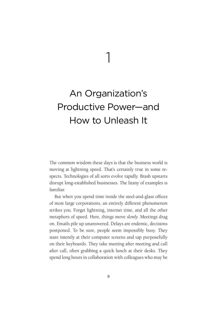# An Organization's Productive Power— and How to Unleash It

The common wisdom these days is that the business world is moving at lightning speed. That's certainly true in some respects. Technologies of all sorts evolve rapidly. Brash upstarts disrupt long-established businesses. The litany of examples is familiar.

But when you spend time inside the steel-and-glass offices of most large corporations, an entirely different phenomenon strikes you. Forget lightning, internet time, and all the other metaphors of speed. Here, things move *slowly*. Meetings drag on. Emails pile up unanswered. Delays are endemic, decisions postponed. To be sure, people seem impossibly busy. They stare intently at their computer screens and tap purposefully on their keyboards. They take meeting after meeting and call after call, often grabbing a quick lunch at their desks. They spend long hours in collaboration with colleagues who may be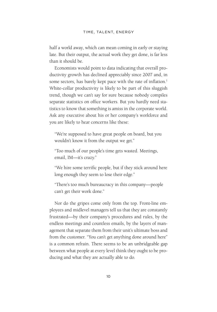half a world away, which can mean coming in early or staying late. But their output, the actual work they get done, is far less than it should be.

Economists would point to data indicating that overall productivity growth has declined appreciably since 2007 and, in some sectors, has barely kept pace with the rate of inflation.<sup>1</sup> White-collar productivity is likely to be part of this sluggish trend, though we can't say for sure because nobody compiles separate statistics on office workers. But you hardly need statistics to know that something is amiss in the corporate world. Ask any executive about his or her company's workforce and you are likely to hear concerns like these:

"We're supposed to have great people on board, but you wouldn't know it from the output we get."

"Too much of our people's time gets wasted. Meetings, email, IM-it's crazy."

"We hire some terrific people, but if they stick around here long enough they seem to lose their edge."

"There's too much bureaucracy in this company— people can't get their work done."

Nor do the gripes come only from the top. Front-line employees and midlevel managers tell us that they are constantly frustrated— by their company's procedures and rules, by the endless meetings and countless emails, by the layers of management that separate them from their unit's ultimate boss and from the customer. "You can't get anything done around here" is a common refrain. There seems to be an unbridgeable gap between what people at every level think they ought to be producing and what they are actually able to do.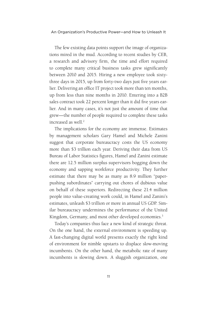The few existing data points support the image of organizations mired in the mud. According to recent studies by CEB, a research and advisory firm, the time and effort required to complete many critical business tasks grew significantly between 2010 and 2015. Hiring a new employee took sixtythree days in 2015, up from forty-two days just five years earlier. Delivering an office IT project took more than ten months, up from less than nine months in 2010. Entering into a B2B sales contract took 22 percent longer than it did five years earlier. And in many cases, it's not just the amount of time that grew— the number of people required to complete these tasks increased as well<sup>2</sup>

The implications for the economy are immense. Estimates by management scholars Gary Hamel and Michele Zanini suggest that corporate bureaucracy costs the US economy more than \$3 trillion each year. Deriving their data from US Bureau of Labor Statistics figures, Hamel and Zanini estimate there are 12.5 million surplus supervisors bogging down the economy and sapping workforce productivity. They further estimate that there may be as many as 8.9 million "paperpushing subordinates" carrying out chores of dubious value on behalf of these superiors. Redirecting these 21.4 million people into value- creating work could, in Hamel and Zanini's estimates, unleash \$3 trillion or more in annual US GDP. Similar bureaucracy undermines the performance of the United Kingdom, Germany, and most other developed economies.<sup>3</sup>

Today's companies thus face a new kind of strategic threat. On the one hand, the external environment is speeding up. A fast- changing digital world presents exactly the right kind of environment for nimble upstarts to displace slow- moving incumbents. On the other hand, the metabolic rate of many incumbents is slowing down. A sluggish organization, one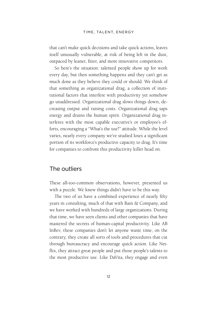that can't make quick decisions and take quick actions, leaves itself unusually vulnerable, at risk of being left in the dust, outpaced by leaner, fitter, and more innovative competitors.

So here's the situation: talented people show up for work every day, but then something happens and they can't get as much done as they believe they could or should. We think of that something as organizational drag, a collection of institutional factors that interfere with productivity yet somehow go unaddressed. Organizational drag slows things down, decreasing output and raising costs. Organizational drag saps energy and drains the human spirit. Organizational drag interferes with the most capable executive's or employee's efforts, encouraging a "What's the use?" attitude. While the level varies, nearly every company we've studied loses a significant portion of its workforce's productive capacity to drag. It's time for companies to confront this productivity killer head on.

## The outliers

These all-too-common observations, however, presented us with a puzzle. We knew things didn't have to be this way.

The two of us have a combined experience of nearly fifty years in consulting, much of that with Bain & Company, and we have worked with hundreds of large organizations. During that time, we have seen clients and other companies that have mastered the secrets of human-capital productivity. Like AB InBev, these companies don't let anyone waste time; on the contrary, they create all sorts of tools and procedures that cut through bureaucracy and encourage quick action. Like Netflix, they attract great people and put those people's talents to the most productive use. Like DaVita, they engage and even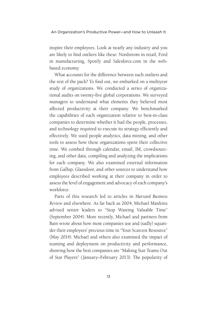inspire their employees. Look at nearly any industry and you are likely to find outliers like these: Nordstrom in retail, Ford in manufacturing, Spotify and Salesforce.com in the webbased economy.

What accounts for the difference between such outliers and the rest of the pack? To find out, we embarked on a multiyear study of organizations. We conducted a series of organizational audits on twenty-five global corporations. We surveyed managers to understand what elements they believed most affected productivity at their company. We benchmarked the capabilities of each organization relative to best-in-class companies to determine whether it had the people, processes, and technology required to execute its strategy efficiently and effectively. We used people analytics, data mining, and other tools to assess how these organizations spent their collective time. We combed through calendar, email, IM, crowdsourcing, and other data, compiling and analyzing the implications for each company. We also examined external information from Gallup, Glassdoor, and other sources to understand how employees described working at their company in order to assess the level of engagement and advocacy of each company's workforce.

Parts of this research led to articles in *Harvard Business Review* and elsewhere. As far back as 2004, Michael Mankins advised senior leaders to "Stop Wasting Valuable Time" (September 2004). More recently, Michael and partners from Bain wrote about how most companies use and (sadly) squander their employees' precious time in "Your Scarcest Resource" (May 2014). Michael and others also examined the impact of teaming and deployment on productivity and performance, showing how the best companies are "Making Star Teams Out of Star Players" ( January– February 2013). The popularity of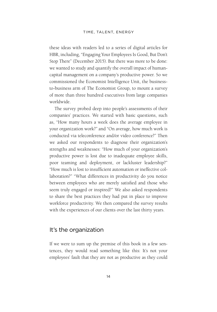these ideas with readers led to a series of digital articles for HBR, including, "Engaging Your Employees Is Good, But Don't Stop There" (December 2015). But there was more to be done: we wanted to study and quantify the overall impact of humancapital management on a company's productive power. So we commissioned the Economist Intelligence Unit, the businessto- business arm of The Economist Group, to mount a survey of more than three hundred executives from large companies worldwide.

The survey probed deep into people's assessments of their companies' practices. We started with basic questions, such as, "How many hours a week does the average employee in your organization work?" and "On average, how much work is conducted via teleconference and/or video conference?" Then we asked our respondents to diagnose their organization's strengths and weaknesses: "How much of your organization's productive power is lost due to inadequate employee skills, poor teaming and deployment, or lackluster leadership?" "How much is lost to insufficient automation or ineffective collaboration?" "What differences in productivity do you notice between employees who are merely satisfied and those who seem truly engaged or inspired?" We also asked respondents to share the best practices they had put in place to improve workforce productivity. We then compared the survey results with the experiences of our clients over the last thirty years.

## It's the organization

If we were to sum up the premise of this book in a few sentences, they would read something like this: It's not your employees' fault that they are not as productive as they could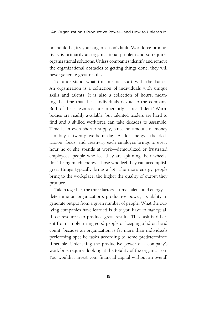or should be; it's your organization's fault. Workforce productivity is primarily an organizational problem and so requires organizational solutions. Unless companies identify and remove the organizational obstacles to getting things done, they will never generate great results.

To understand what this means, start with the basics. An organization is a collection of individuals with unique skills and talents. It is also a collection of hours, meaning the time that these individuals devote to the company. Both of these resources are inherently scarce. Talent? Warm bodies are readily available, but talented leaders are hard to find and a skilled workforce can take decades to assemble. Time is in even shorter supply, since no amount of money can buy a twenty-five-hour day. As for energy-the dedication, focus, and creativity each employee brings to every hour he or she spends at work— demoralized or frustrated employees, people who feel they are spinning their wheels, don't bring much energy. Those who feel they can accomplish great things typically bring a lot. The more energy people bring to the workplace, the higher the quality of output they produce.

Taken together, the three factors— time, talent, and energy determine an organization's productive power, its ability to generate output from a given number of people. What the outlying companies have learned is this: you have to *manage* all those resources to produce great results. This task is different from simply hiring good people or keeping a lid on head count, because an organization is far more than individuals performing specific tasks according to some predetermined timetable. Unleashing the productive power of a company's workforce requires looking at the totality of the organization. You wouldn't invest your financial capital without an overall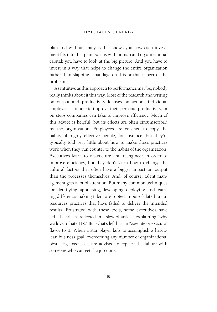plan and without analysis that shows you how each investment fits into that plan. So it is with human and organizational capital: you have to look at the big picture. And you have to invest in a way that helps to change the entire organization rather than slapping a bandage on this or that aspect of the problem.

As intuitive as this approach to performance may be, nobody really thinks about it this way. Most of the research and writing on output and productivity focuses on actions individual employees can take to improve their personal productivity, or on steps companies can take to improve efficiency. Much of this advice is helpful, but its effects are often circumscribed by the organization. Employees are coached to copy the habits of highly effective people, for instance, but they're typically told very little about how to make these practices work when they run counter to the habits of the organization. Executives learn to restructure and reengineer in order to improve efficiency, but they don't learn how to change the cultural factors that often have a bigger impact on output than the processes themselves. And, of course, talent management gets a lot of attention. But many common techniques for identifying, appraising, developing, deploying, and teaming difference-making talent are rooted in out-of-date human resources practices that have failed to deliver the intended results. Frustrated with these tools, some executives have led a backlash, reflected in a slew of articles explaining "why we love to hate HR." But what's left has an "execute or execute" flavor to it. When a star player fails to accomplish a herculean business goal, overcoming any number of organizational obstacles, executives are advised to replace the failure with someone who can get the job done.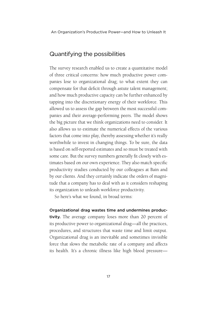## Quantifying the possibilities

The survey research enabled us to create a quantitative model of three critical concerns: how much productive power companies lose to organizational drag; to what extent they can compensate for that deficit through astute talent management; and how much productive capacity can be further enhanced by tapping into the discretionary energy of their workforce. This allowed us to assess the gap between the most successful companies and their average- performing peers. The model shows the big picture that we think organizations need to consider. It also allows us to estimate the numerical effects of the various factors that come into play, thereby assessing whether it's really worthwhile to invest in changing things. To be sure, the data is based on self-reported estimates and so must be treated with some care. But the survey numbers generally fit closely with estimates based on our own experience. They also match specific productivity studies conducted by our colleagues at Bain and by our clients. And they certainly indicate the orders of magnitude that a company has to deal with as it considers reshaping its organization to unleash workforce productivity.

So here's what we found, in broad terms:

Organizational drag wastes time and undermines productivity. The average company loses more than 20 percent of its productive power to organizational drag— all the practices, procedures, and structures that waste time and limit output. Organizational drag is an inevitable and sometimes invisible force that slows the metabolic rate of a company and affects its health. It's a chronic illness like high blood pressure—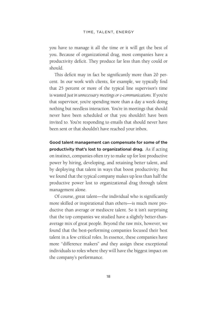you have to manage it all the time or it will get the best of you. Because of organizational drag, most companies have a productivity deficit. They produce far less than they could or should.

This deficit may in fact be significantly more than 20 percent. In our work with clients, for example, we typically find that 25 percent or more of the typical line supervisor's time is wasted *just in unnecessary meetings or e- communications*. If you're that supervisor, you're spending more than a day a week doing nothing but needless interaction. You're in meetings that should never have been scheduled or that you shouldn't have been invited to. You're responding to emails that should never have been sent or that shouldn't have reached your inbox.

Good talent management can compensate for some of the productivity that's lost to organizational drag. As if acting on instinct, companies often try to make up for lost productive power by hiring, developing, and retaining better talent, and by deploying that talent in ways that boost productivity. But we found that the typical company makes up less than half the productive power lost to organizational drag through talent management alone.

Of course, great talent—the individual who is significantly more skilled or inspirational than others— is much more productive than average or mediocre talent. So it isn't surprising that the top companies we studied have a slightly better- thanaverage mix of great people. Beyond the raw mix, however, we found that the best- performing companies focused their best talent in a few critical roles. In essence, these companies have more "difference makers" *and* they assign these exceptional individuals to roles where they will have the biggest impact on the company's performance.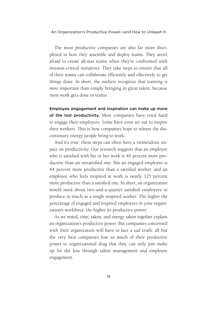#### An Organization's Productive Power—and How to Unleash It

The most productive companies are also far more disciplined in how they assemble and deploy teams. They aren't afraid to create all-star teams when they're confronted with mission- critical initiatives. They take steps to ensure that all of their teams can collaborate efficiently and effectively to get things done. In short, the outliers recognize that teaming is *more* important than simply bringing in great talent, because most work gets done in teams.

Employee engagement and inspiration can make up more of the lost productivity. Most companies have tried hard to engage their employees. Some have even set out to inspire their workers. This is how companies hope to release the discretionary energy people bring to work.

And it's true: these steps can often have a tremendous impact on productivity. Our research suggests that an employee who is satisfied with his or her work is 40 percent more productive than an unsatisfied one. But an engaged employee is 44 percent more productive than a satisfied worker, and an employee who feels inspired at work is nearly 125 percent more productive than a satisfied one. In short, an organization would need about two-and-a-quarter satisfied employees to produce as much as a single inspired worker. The higher the percentage of engaged and inspired employees in your organization's workforce, the higher its productive power.

As we noted, time, talent, and energy taken together explain an organization's productive power. But companies concerned with their organization will have to face a sad truth: all but the very best companies lose so much of their productive power to organizational drag that they can only just make up for the loss through talent management and employee engagement.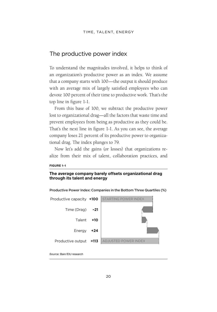## The productive power index

To understand the magnitudes involved, it helps to think of an organization's productive power as an index. We assume that a company starts with 100—the output it should produce with an average mix of largely satisfied employees who can devote 100 percent of their time to productive work. That's the top line in figure 1-1.

From this base of 100, we subtract the productive power lost to organizational drag— all the factors that waste time and prevent employees from being as productive as they could be. That's the next line in figure 1-1. As you can see, the average company loses 21 percent of its productive power to organizational drag. The index plunges to 79.

Now let's add the gains (or losses) that organizations realize from their mix of talent, collaboration practices, and

#### **FIGURE 1-1**

#### **The average company barely offsets organizational drag through its talent and energy**



Productive Power Index: Companies in the Bottom Three Quartiles (%)

*Source:* Bain/EIU research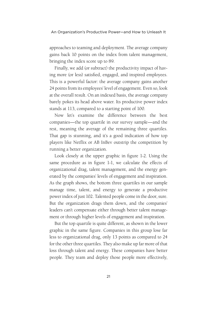approaches to teaming and deployment. The average company gains back 10 points on the index from talent management, bringing the index score up to 89.

Finally, we add (or subtract) the productivity impact of having more (or less) satisfied, engaged, and inspired employees. This is a powerful factor: the average company gains another 24 points from its employees' level of engagement. Even so, look at the overall result. On an indexed basis, the average company barely pokes its head above water. Its productive power index stands at 113, compared to a starting point of 100.

Now let's examine the difference between the best companies— the top quartile in our survey sample— and the rest, meaning the average of the remaining three quartiles. That gap is stunning, and it's a good indication of how top players like Netflix or AB InBev outstrip the competition by running a better organization.

Look closely at the upper graphic in figure 1-2. Using the same procedure as in figure 1-1, we calculate the effects of organizational drag, talent management, and the energy generated by the companies' levels of engagement and inspiration. As the graph shows, the bottom three quartiles in our sample manage time, talent, and energy to generate a productive power index of just 102. Talented people come in the door, sure. But the organization drags them down, and the companies' leaders can't compensate either through better talent management or through higher levels of engagement and inspiration.

But the top quartile is quite different, as shown in the lower graphic in the same figure. Companies in this group lose far less to organizational drag, only 13 points as compared to 24 for the other three quartiles. They also make up far more of that loss through talent and energy. These companies have better people. They team and deploy those people more effectively,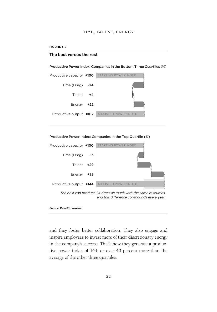#### **FIGURE 1-2**

#### **The best versus the rest**

#### Productive Power Index: Companies in the Bottom Three Quartiles (%)



#### Productive Power Index: Companies in the Top Quartile (%)



*The best can produce 1.4 times as much with the same resources, and this difference compounds every year.*

*Source:* Bain/EIU research

and they foster better collaboration. They also engage and inspire employees to invest more of their discretionary energy in the company's success. That's how they generate a productive power index of 144, or over 40 percent more than the average of the other three quartiles.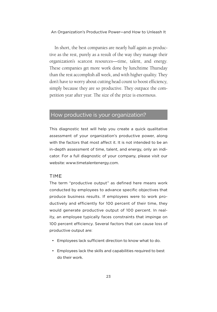#### An Organization's Productive Power—and How to Unleash It

In short, the best companies are nearly half again as productive as the rest, purely as a result of the way they manage their organization's scarcest resources— time, talent, and energy. These companies get more work done by lunchtime Thursday than the rest accomplish all week, and with higher quality. They don't have to worry about cutting head count to boost efficiency, simply because they are so productive. They outpace the competition year after year. The size of the prize is enormous.

## How productive is your organization?

This diagnostic test will help you create a quick qualitative assessment of your organization's productive power, along with the factors that most affect it. It is not intended to be an in- depth assessment of time, talent, and energy, only an indicator. For a full diagnostic of your company, please visit our website: www.timetalentenergy.com.

#### TIME

The term "productive output" as defined here means work conducted by employees to advance specific objectives that produce business results. If employees were to work productively and efficiently for 100 percent of their time, they would generate productive output of 100 percent. In reality, an employee typically faces constraints that impinge on 100 percent efficiency. Several factors that can cause loss of productive output are:

- Employees lack sufficient direction to know what to do.
- Employees lack the skills and capabilities required to best do their work.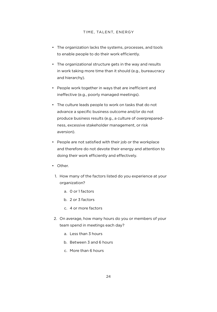- The organization lacks the systems, processes, and tools to enable people to do their work efficiently.
- The organizational structure gets in the way and results in work taking more time than it should (e.g., bureaucracy and hierarchy).
- People work together in ways that are inefficient and ineffective (e.g., poorly managed meetings).
- The culture leads people to work on tasks that do not advance a specific business outcome and/or do not produce business results (e.g., a culture of overpreparedness, excessive stakeholder management, or risk aversion).
- People are not satisfied with their job or the workplace and therefore do not devote their energy and attention to doing their work efficiently and effectively.
- Other.
	- 1. How many of the factors listed do you experience at your organization?
		- a. 0 or 1 factors
		- b. 2 or 3 factors
		- c. 4 or more factors
- 2. On average, how many hours do you or members of your team spend in meetings each day?
	- a. Less than 3 hours
	- b. Between 3 and 6 hours
	- c. More than 6 hours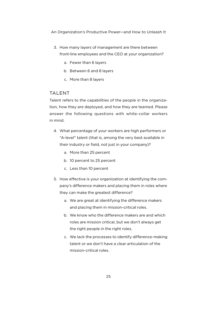#### An Organization's Productive Power—and How to Unleash It

- 3. How many layers of management are there between front-line employees and the CEO at your organization?
	- a. Fewer than 6 layers
	- b. Between 6 and 8 layers
	- c. More than 8 layers

#### TALENT

Talent refers to the capabilities of the people in the organization, how they are deployed, and how they are teamed. Please answer the following questions with white-collar workers in mind.

- 4. What percentage of your workers are high performers or "A-level" talent (that is, among the very best available in their industry or field, not just in your company)?
	- a. More than 25 percent
	- b. 10 percent to 25 percent
	- c. Less than 10 percent
- 5. How effective is your organization at identifying the company's difference makers and placing them in roles where they can make the greatest difference?
	- a. We are great at identifying the difference makers and placing them in mission- critical roles.
	- b. We know who the difference makers are and which roles are mission critical, but we don't always get the right people in the right roles.
	- c. We lack the processes to identify difference-making talent or we don't have a clear articulation of the mission- critical roles.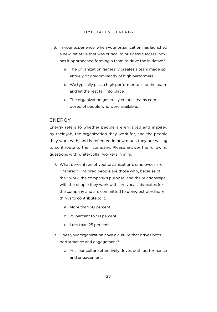- 6. In your experience, when your organization has launched a new initiative that was critical to business success, how has it approached forming a team to drive the initiative?
	- a. The organization generally creates a team made up entirely or predominantly of high performers.
	- b. We typically pick a high performer to lead the team and let the rest fall into place.
	- c. The organization generally creates teams composed of people who were available.

#### ENERGY

Energy refers to whether people are engaged and inspired by their job, the organization they work for, and the people they work with, and is reflected in how much they are willing to contribute to their company. Please answer the following questions with white-collar workers in mind.

- 7. What percentage of your organization's employees are "inspired"? Inspired people are those who, because of their work, the company's purpose, and the relationships with the people they work with, are vocal advocates for the company and are committed to doing extraordinary things to contribute to it.
	- a. More than 50 percent
	- b. 25 percent to 50 percent
	- c. Less than 25 percent
- 8. Does your organization have a culture that drives both performance and engagement?
	- a. Yes, our culture effectively drives both performance and engagement.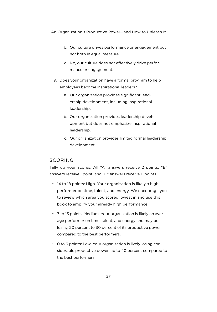- b. Our culture drives performance or engagement but not both in equal measure.
- c. No, our culture does not effectively drive performance or engagement.
- 9. Does your organization have a formal program to help employees become inspirational leaders?
	- a. Our organization provides significant leadership development, including inspirational leadership.
	- b. Our organization provides leadership development but does not emphasize inspirational leadership.
	- c. Our organization provides limited formal leadership development.

### SCORING

Tally up your scores. All "A" answers receive 2 points, "B" answers receive 1 point, and "C" answers receive 0 points.

- 14 to 18 points: High. Your organization is likely a high performer on time, talent, and energy. We encourage you to review which area you scored lowest in and use this book to amplify your already high performance.
- 7 to 13 points: Medium. Your organization is likely an average performer on time, talent, and energy and may be losing 20 percent to 30 percent of its productive power compared to the best performers.
- 0 to 6 points: Low. Your organization is likely losing considerable productive power, up to 40 percent compared to the best performers.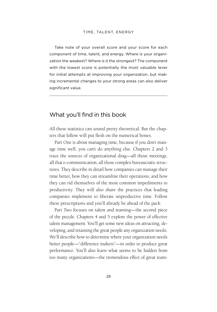Take note of your overall score and your score for each component of time, talent, and energy. Where is your organization the weakest? Where is it the strongest? The component with the lowest score is potentially the most valuable lever for initial attempts at improving your organization, but making incremental changes to your strong areas can also deliver significant value.

## What you'll find in this book

All these statistics can sound pretty theoretical. But the chapters that follow will put flesh on the numerical bones.

Part One is about managing time, because if you don't manage time well, you can't do anything else. Chapters 2 and 3 trace the sources of organizational drag— all those meetings, all that e- communication, all those complex bureaucratic structures. They describe in detail how companies can manage their time better, how they can streamline their operations, and how they can rid themselves of the most common impediments to productivity. They will also share the practices that leading companies implement to liberate unproductive time. Follow these prescriptions and you'll already be ahead of the pack.

Part Two focuses on talent and teaming— the second piece of the puzzle. Chapters 4 and 5 explore the power of effective talent management. You'll get some new ideas on attracting, developing, and retaining the great people any organization needs. We'll describe how to determine where your organization needs better people—"difference makers"—in order to produce great performance. You'll also learn what seems to be hidden from too many organizations— the tremendous effect of great team-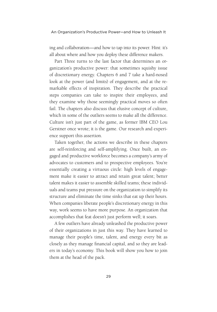ing and collaboration— and how to tap into its power. Hint: it's all about where and how you deploy these difference makers.

Part Three turns to the last factor that determines an organization's productive power: that sometimes squishy issue of discretionary energy. Chapters 6 and 7 take a hard-nosed look at the power (and limits) of engagement, and at the remarkable effects of inspiration. They describe the practical steps companies can take to inspire their employees, and they examine why those seemingly practical moves so often fail. The chapters also discuss that elusive concept of culture, which in some of the outliers seems to make all the difference. Culture isn't just part of the game, as former IBM CEO Lou Gerstner once wrote; it *is* the game. Our research and experience support this assertion.

Taken together, the actions we describe in these chapters are self-reinforcing and self-amplifying. Once built, an engaged and productive workforce becomes a company's army of advocates to customers and to prospective employees. You're essentially creating a virtuous circle: high levels of engagement make it easier to attract and retain great talent; better talent makes it easier to assemble skilled teams; these individuals and teams put pressure on the organization to simplify its structure and eliminate the time sinks that eat up their hours. When companies liberate people's discretionary energy in this way, work seems to have more purpose. An organization that accomplishes that feat doesn't just perform well; it soars.

A few outliers have already unleashed the productive power of their organizations in just this way. They have learned to manage their people's time, talent, and energy every bit as closely as they manage financial capital, and so they are leaders in today's economy. This book will show you how to join them at the head of the pack.